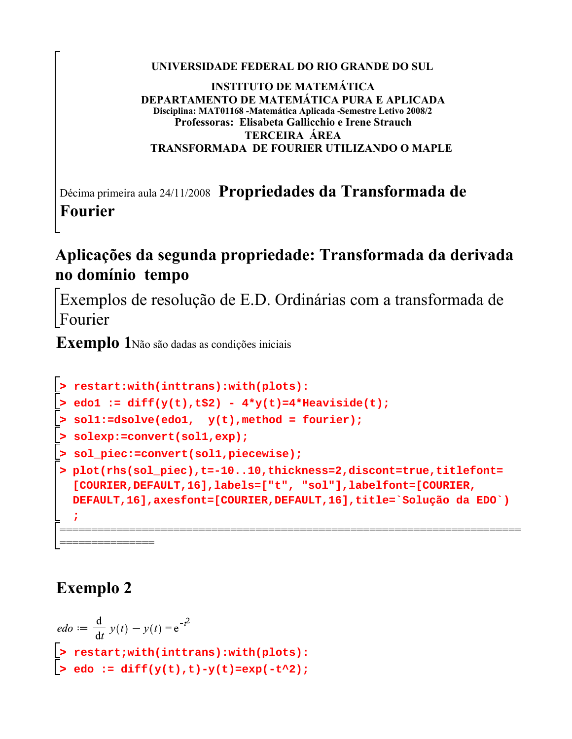#### **UNIVERSIDADE FEDERAL DO RIO GRANDE DO SUL**

#### **INSTITUTO DE MATEMÁTICA DEPARTAMENTO DE MATEMÁTICA PURA E APLICADA Disciplina: MAT01168 -Matemática Aplicada -Semestre Letivo 2008/2 Professoras: Elisabeta Gallicchio e Irene Strauch TERCEIRA ÁREA TRANSFORMADA DE FOURIER UTILIZANDO O MAPLE**

Décima primeira aula 24/11/2008 **Propriedades da Transformada de Fourier**

## **Aplicações da segunda propriedade: Transformada da derivada no domínio tempo**

Exemplos de resolução de E.D. Ordinárias com a transformada de Fourier

**Exemplo 1**Não são dadas as condições iniciais

```
> 
sol_piec:=convert(sol1,piecewise);
> 
restart:with(inttrans):with(plots):
> 
solexp:=convert(sol1,exp);
> 
edo1 := diff(y(t),t$2) - 4*y(t)=4*Heaviside(t);
> 
sol1:=dsolve(edo1, y(t),method = fourier);
> 
plot(rhs(sol_piec),t=-10..10,thickness=2,discont=true,titlefont=
 [COURIER,DEFAULT,16],labels=["t", "sol"],labelfont=[COURIER,
 DEFAULT,16],axesfont=[COURIER,DEFAULT,16],title=`Solução da EDO`)
  ;
=========================================================================
================<br>'
```
# **Exemplo 2**

$$
edo := \frac{d}{dt} y(t) - y(t) = e^{-t^2}
$$
  
\n>> restart;with(inttrans):with(plots):  
\n>> edo := diff(y(t),t)-y(t)=exp(-t^2);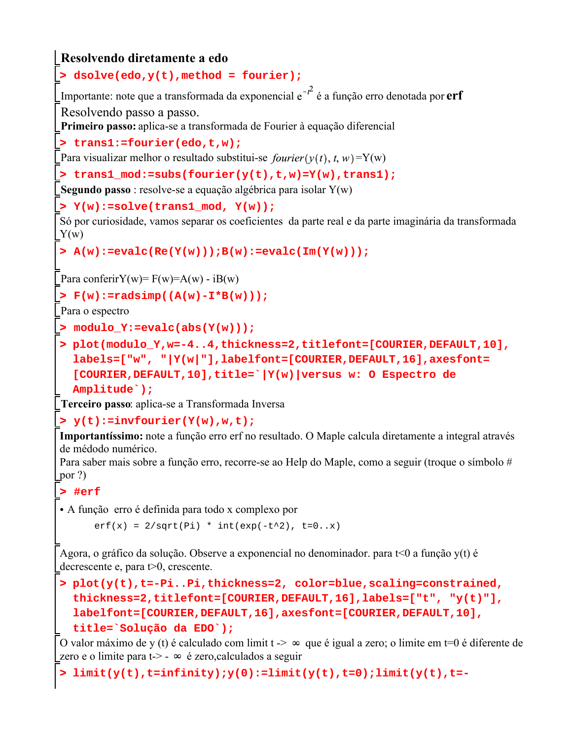**> trans1\_mod:=subs(fourier(y(t),t,w)=Y(w),trans1); > F(w):=radsimp((A(w)-I\*B(w))); > A(w):=evalc(Re(Y(w)));B(w):=evalc(Im(Y(w))); > dsolve(edo,y(t),method = fourier); > trans1:=fourier(edo,t,w); > y(t):=invfourier(Y(w),w,t); > #erf > plot(y(t),t=-Pi..Pi,thickness=2, color=blue,scaling=constrained, > limit(y(t),t=infinity);y(0):=limit(y(t),t=0);limit(y(t),t=-> Y(w):=solve(trans1\_mod, Y(w)); > plot(modulo\_Y,w=-4..4,thickness=2,titlefont=[COURIER,DEFAULT,10], > modulo\_Y:=evalc(abs(Y(w))); Resolvendo diretamente a edo** Importante: note que a transformada da exponencial  $e^{-t^2}$  é a função erro denotada por **erf** Resolvendo passo a passo. **Primeiro passo:** aplica-se a transformada de Fourier à equação diferencial Para visualizar melhor o resultado substitui-se  $fourier(y(t), t, w) = Y(w)$ **Segundo passo** : resolve-se a equação algébrica para isolar Y(w) Só por curiosidade, vamos separar os coeficientes da parte real e da parte imaginária da transformada  $Y(w)$ Para conferirY(w)=  $F(w)=A(w) - iB(w)$ Para o espectro **labels=["w", "|Y(w|"],labelfont=[COURIER,DEFAULT,16],axesfont= [COURIER,DEFAULT,10],title=`|Y(w)|versus w: O Espectro de Amplitude`); Terceiro passo**: aplica-se a Transformada Inversa **Importantíssimo:** note a função erro erf no resultado. O Maple calcula diretamente a integral através de médodo numérico. Para saber mais sobre a função erro, recorre-se ao Help do Maple, como a seguir (troque o símbolo # por ?) A função erro é definida para todo x complexo por  $erf(x) = 2/sqrt(Pi) * int(exp(-t^2), t=0..x)$ Agora, o gráfico da solução. Observe a exponencial no denominador. para t<0 a função y(t) é decrescente e, para t>0, crescente. **thickness=2,titlefont=[COURIER,DEFAULT,16],labels=["t", "y(t)"], labelfont=[COURIER,DEFAULT,16],axesfont=[COURIER,DEFAULT,10], title=`Solução da EDO`);** O valor máximo de y (t) é calculado com limit  $t \rightarrow \infty$  que é igual a zero; o limite em t=0 é diferente de zero e o limite para t-> -  $\infty$  é zero, calculados a seguir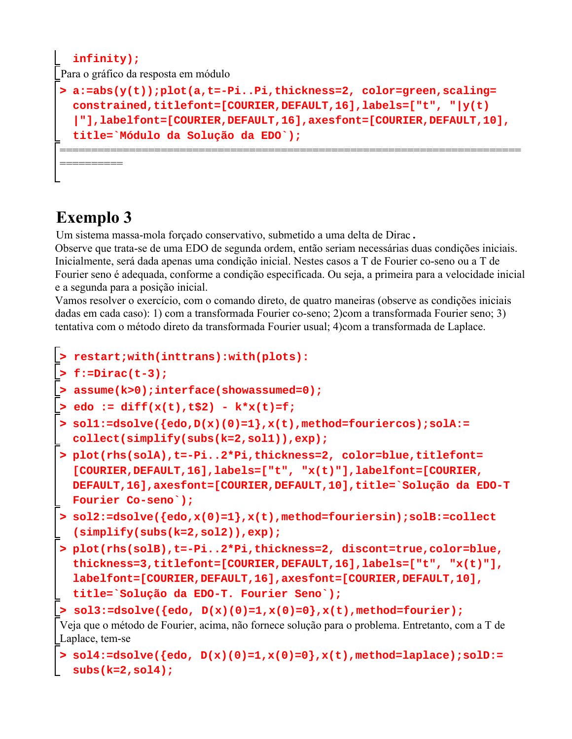```
> 
a:=abs(y(t));plot(a,t=-Pi..Pi,thickness=2, color=green,scaling=
  infinity);
Para o gráfico da resposta em módulo
  constrained,titlefont=[COURIER,DEFAULT,16],labels=["t", "|y(t)
  |"],labelfont=[COURIER,DEFAULT,16],axesfont=[COURIER,DEFAULT,10],
  title=`Módulo da Solução da EDO`);
=========================================================================
==========
```
# **Exemplo 3**

Um sistema massa-mola forçado conservativo, submetido a uma delta de Dirac **.**

Observe que trata-se de uma EDO de segunda ordem, então seriam necessárias duas condições iniciais. Inicialmente, será dada apenas uma condição inicial. Nestes casos a T de Fourier co-seno ou a T de Fourier seno é adequada, conforme a condição especificada. Ou seja, a primeira para a velocidade inicial e a segunda para a posição inicial.

Vamos resolver o exercício, com o comando direto, de quatro maneiras (observe as condições iniciais dadas em cada caso): 1) com a transformada Fourier co-seno; 2)com a transformada Fourier seno; 3) tentativa com o método direto da transformada Fourier usual; 4)com a transformada de Laplace.

```
> 
plot(rhs(solA),t=-Pi..2*Pi,thickness=2, color=blue,titlefont=
> 
f:=Dirac(t-3);
> 
plot(rhs(solB),t=-Pi..2*Pi,thickness=2, discont=true,color=blue,
> 
sol2:=dsolve({edo,x(0)=1},x(t),method=fouriersin);solB:=collect
> 
assume(k>0);interface(showassumed=0);
> 
sol1:=dsolve({edo,D(x)(0)=1},x(t),method=fouriercos);solA:=
> 
restart;with(inttrans):with(plots):
> 
sol4:=dsolve({edo, D(x)(0)=1,x(0)=0},x(t),method=laplace);solD:=
> 
edo := diff(x(t),t$2) - k*x(t)=f;
> 
sol3:=dsolve({edo, D(x)(0)=1,x(0)=0},x(t),method=fourier);
  collect(simplify(subs(k=2,sol1)),exp);
  [COURIER,DEFAULT,16],labels=["t", "x(t)"],labelfont=[COURIER,
  DEFAULT,16],axesfont=[COURIER,DEFAULT,10],title=`Solução da EDO-T
  Fourier Co-seno`);
  (simplify(subs(k=2,sol2)),exp);
  thickness=3,titlefont=[COURIER,DEFAULT,16],labels=["t", "x(t)"],
  labelfont=[COURIER,DEFAULT,16],axesfont=[COURIER,DEFAULT,10],
  title=`Solução da EDO-T. Fourier Seno`);
Veja que o método de Fourier, acima, não fornece solução para o problema. Entretanto, com a T de 
Laplace, tem-se
  subs(k=2,sol4);
```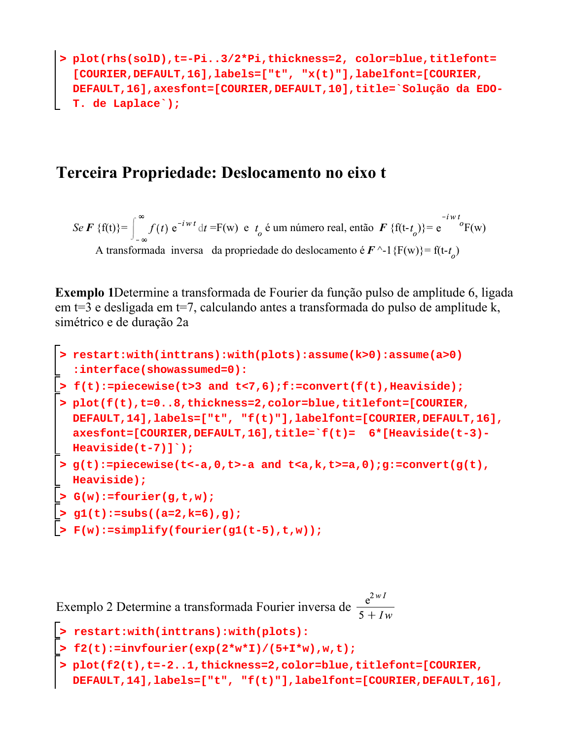**> plot(rhs(solD),t=-Pi..3/2\*Pi,thickness=2, color=blue,titlefont= [COURIER,DEFAULT,16],labels=["t", "x(t)"],labelfont=[COURIER, DEFAULT,16],axesfont=[COURIER,DEFAULT,10],title=`Solução da EDO-T. de Laplace`);**

#### **Terceira Propriedade: Deslocamento no eixo t**

*Se F {f(t)} =*  $\int_{0}^{\infty} f(t) e^{-iwt} dt$  *= F(w) e*  $t_o$  *é um número real, então F {f(t-* $t_o$ *)} =*  $e^{-iwt}$ *<sup><i>F*</sup>(w) A transformada inversa da propriedade do deslocamento é  $\mathbf{F} \sim 1$ {F(w)}= f(t-t<sub>o</sub>)

**Exemplo 1**Determine a transformada de Fourier da função pulso de amplitude 6, ligada em t=3 e desligada em t=7, calculando antes a transformada do pulso de amplitude k, simétrico e de duração 2a

```
> 
restart:with(inttrans):with(plots):assume(k>0):assume(a>0)
> 
f(t):=piecewise(t>3 and t<7,6);f:=convert(f(t),Heaviside); 
> 
F(w):=simplify(fourier(g1(t-5),t,w));
> 
plot(f(t),t=0..8,thickness=2,color=blue,titlefont=[COURIER,
> 
> 
> 
  :interface(showassumed=0):
 DEFAULT,14],labels=["t", "f(t)"],labelfont=[COURIER,DEFAULT,16],
 axesfont=[COURIER,DEFAULT,16],title=`f(t)= 6*[Heaviside(t-3)-
Heaviside(t-7)]`);
  g(t):=piecewise(t<-a,0,t>-a and t<a,k,t>=a,0);g:=convert(g(t),
  Heaviside); 
  G(w):=fourier(g,t,w);
  g1(t):=subs((a=2,k=6),g);
```
Exemplo 2 Determine a transformada Fourier inversa de  $\frac{e^{2wl}}{5+7}$ 

```
> 
> 
f2(t):=invfourier(exp(2*w*I)/(5+I*w),w,t);
> 
restart:with(inttrans):with(plots):
 plot(f2(t),t=-2..1,thickness=2,color=blue,titlefont=[COURIER,
 DEFAULT,14],labels=["t", "f(t)"],labelfont=[COURIER,DEFAULT,16],
```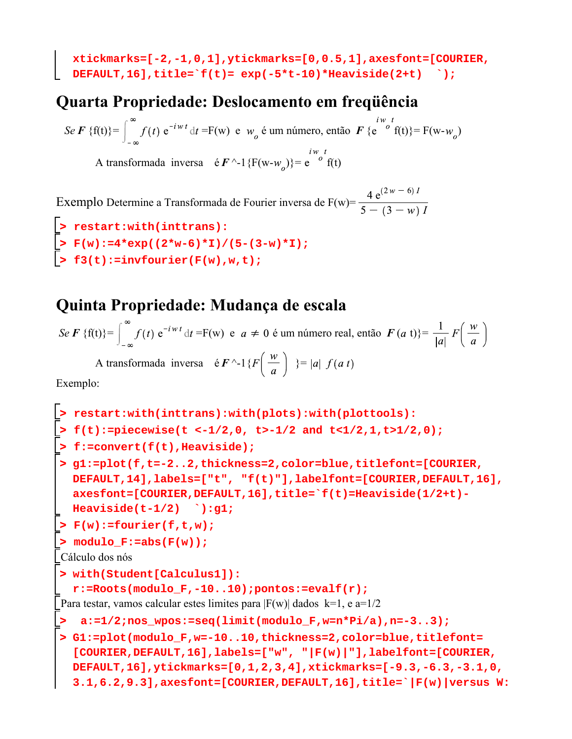**xtickmarks=[-2,-1,0,1],ytickmarks=[0,0.5,1],axesfont=[COURIER, DEFAULT,16],title=`f(t)= exp(-5\*t-10)\*Heaviside(2+t) `);**

## **Quarta Propriedade: Deslocamento em freqüência**

*Se F* {f(t)}= $\int_0^\infty f(t) e^{-iwt} dt$  =F(w) e  $w_o$  é um número, então  $\mathbf{F}$  { $e^{-i\omega t}$  f(t)}= F(w- $w_o$ )

A transformada inversa  $\epsilon \mathbf{F}^{\wedge -1} \{F(w - w_{\alpha})\} = e^{\int_{0}^{i w_{\alpha}} f(t)}$ 

Exemplo Determine a Transformada de Fourier inversa de F(w)=  $\frac{4 e^{(2w-6)T}}{5 - (3 - w)^T}$ 

```
> 
> 
> 
  restart:with(inttrans):
  F(w):=4*exp((2*w-6)*I)/(5-(3-w)*I);
  f3(t):=invfourier(F(w),w,t);
```
## **Quinta Propriedade: Mudança de escala**

*Se F {f(t)}=* $\int_{a}^{\infty} f(t) e^{-iwt} dt = F(w) e a \neq 0$  *é um número real, então*  $F(a t)$ *}=*  $\frac{1}{|a|} F\left(\frac{w}{a}\right)$ A transformada inversa é  $\mathbf{F} \sim 1 \{ F \left( \frac{w}{a} \right) \} = |a| f(a t)$ 

Exemplo:

```
> 
g1:=plot(f,t=-2..2,thickness=2,color=blue,titlefont=[COURIER,
> 
f(t):=piecewise(t <-1/2,0, t>-1/2 and t<1/2,1,t>1/2,0);
> 
 a:=1/2;nos_wpos:=seq(limit(modulo_F,w=n*Pi/a),n=-3..3);
> 
F(w):=fourier(f,t,w);
> 
G1:=plot(modulo_F,w=-10..10,thickness=2,color=blue,titlefont=
> 
with(Student[Calculus1]):
> 
restart:with(inttrans):with(plots):with(plottools):
> 
modulo_F:=abs(F(w));
> 
f:=convert(f(t),Heaviside);
  DEFAULT,14],labels=["t", "f(t)"],labelfont=[COURIER,DEFAULT,16],
  axesfont=[COURIER,DEFAULT,16],title=`f(t)=Heaviside(1/2+t)-
  Heaviside(t-1/2) `):g1;
Cálculo dos nós
  r:=Roots(modulo_F,-10..10);pontos:=evalf(r);
Para testar, vamos calcular estes limites para |F(w)| dados k=1, e a=1/2
  [COURIER,DEFAULT,16],labels=["w", "|F(w)|"],labelfont=[COURIER,
  DEFAULT,16],ytickmarks=[0,1,2,3,4],xtickmarks=[-9.3,-6.3,-3.1,0,
  3.1,6.2,9.3],axesfont=[COURIER,DEFAULT,16],title=`|F(w)|versus W:
```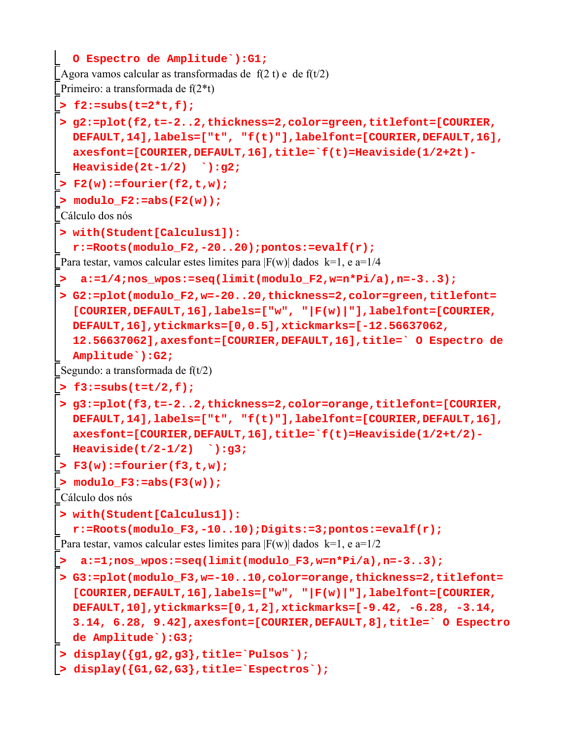```
> 
 a:=1;nos_wpos:=seq(limit(modulo_F3,w=n*Pi/a),n=-3..3);
> 
 a:=1/4;nos_wpos:=seq(limit(modulo_F2,w=n*Pi/a),n=-3..3);
> 
G2:=plot(modulo_F2,w=-20..20,thickness=2,color=green,titlefont=
> 
F3(w):=fourier(f3,t,w);
> 
with(Student[Calculus1]):
> 
G3:=plot(modulo_F3,w=-10..10,color=orange,thickness=2,titlefont=
> 
g2:=plot(f2,t=-2..2,thickness=2,color=green,titlefont=[COURIER,
> 
f3:=subs(t=t/2,f);
> 
modulo_F3:=abs(F3(w));
> 
with(Student[Calculus1]):
> 
modulo_F2:=abs(F2(w));
> 
display({G1,G2,G3},title=`Espectros`);> 
F2(w):=fourier(f2,t,w);
> 
g3:=plot(f3,t=-2..2,thickness=2,color=orange,titlefont=[COURIER,
> 
display({g1,g2,g3},title=`Pulsos`);
> 
f2:=subs(t=2*t,f);
  O Espectro de Amplitude`):G1;
Agora vamos calcular as transformadas de f(2 t) e de f(t/2)Primeiro: a transformada de f(2*t)
  DEFAULT,14],labels=["t", "f(t)"],labelfont=[COURIER,DEFAULT,16],
  axesfont=[COURIER,DEFAULT,16],title=`f(t)=Heaviside(1/2+2t)-
  Heaviside(2t-1/2) `):g2;
Cálculo dos nós
  r:=Roots(modulo_F2,-20..20);pontos:=evalf(r);
Para testar, vamos calcular estes limites para |F(w)| dados k=1, e a=1/4
  [COURIER,DEFAULT,16],labels=["w", "|F(w)|"],labelfont=[COURIER,
  DEFAULT,16],ytickmarks=[0,0.5],xtickmarks=[-12.56637062, 
  12.56637062],axesfont=[COURIER,DEFAULT,16],title=` O Espectro de 
  Amplitude`):G2;
Segundo: a transformada de f(t/2)DEFAULT,14],labels=["t", "f(t)"],labelfont=[COURIER,DEFAULT,16],
  axesfont=[COURIER,DEFAULT,16],title=`f(t)=Heaviside(1/2+t/2)-
  Heaviside(t/2-1/2) `):g3;
Cálculo dos nós
  r:=Roots(modulo_F3,-10..10);Digits:=3;pontos:=evalf(r);
Para testar, vamos calcular estes limites para |F(w)| dados k=1, e a=1/2
  [COURIER,DEFAULT,16],labels=["w", "|F(w)|"],labelfont=[COURIER,
  DEFAULT,10],ytickmarks=[0,1,2],xtickmarks=[-9.42, -6.28, -3.14, 
  3.14, 6.28, 9.42],axesfont=[COURIER,DEFAULT,8],title=` O Espectro
  de Amplitude`):G3;
```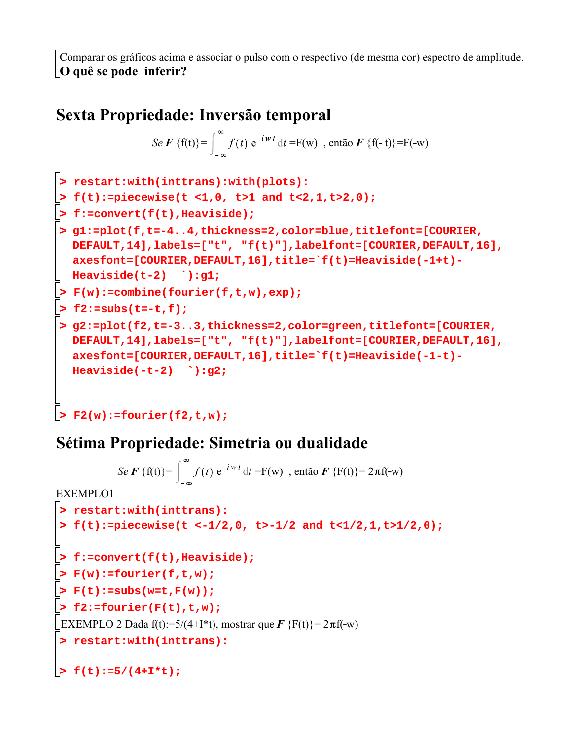Comparar os gráficos acima e associar o pulso com o respectivo (de mesma cor) espectro de amplitude. **O quê se pode inferir?**

#### **Sexta Propriedade: Inversão temporal**

$$
\text{Se } \boldsymbol{F} \ \{\mathbf{f(t)}\} = \int_{-\infty}^{\infty} f(t) \ \mathrm{e}^{-i\,\boldsymbol{w}\,t} \ \mathrm{d}t = \mathrm{F(w)} \ \ , \ \text{então } \boldsymbol{F} \ \{\mathbf{f(\cdot t)}\} = \mathrm{F(\cdot w)}
$$

```
> 
f2:=subs(t=-t,f);
> 
F(w):=combine(fourier(f,t,w),exp);
> 
g2:=plot(f2,t=-3..3,thickness=2,color=green,titlefont=[COURIER,
> 
f:=convert(f(t),Heaviside);
> 
f(t):=piecewise(t <1,0, t>1 and t<2,1,t>2,0);
> 
g1:=plot(f,t=-4..4,thickness=2,color=blue,titlefont=[COURIER,
> 
restart:with(inttrans):with(plots):
> 
F2(w):=fourier(f2,t,w);
 DEFAULT,14],labels=["t", "f(t)"],labelfont=[COURIER,DEFAULT,16],
 axesfont=[COURIER,DEFAULT,16],title=`f(t)=Heaviside(-1+t)-
 Heaviside(t-2) `):g1;
 DEFAULT,14],labels=["t", "f(t)"],labelfont=[COURIER,DEFAULT,16],
 axesfont=[COURIER,DEFAULT,16],title=`f(t)=Heaviside(-1-t)-
 Heaviside(-t-2) `):g2;
```
## **Sétima Propriedade: Simetria ou dualidade**

```
> 
restart:with(inttrans):
> 
f(t):=5/(4+I*t);> 
restart:with(inttrans):
> 
f:=convert(f(t),Heaviside);
> 
f2:=fourier(F(t),t,w);
> 
F(t):=subs(w=t,F(w));
> 
f(t):=piecewise(t <-1/2,0, t>-1/2 and t<1/2,1,t>1/2,0);
> 
F(w):=fourier(f,t,w);
           Se F {f(t)} = \int_{0}^{\infty} f(t) e^{-iwt} dt = F(w), então F {F(t)} = 2\pif(-w)
EXEMPLO1
EXEMPLO 2 Dada f(t):=5/(4+I*t), mostrar que \vec{F} {F(t)}= 2\pif(-w)
```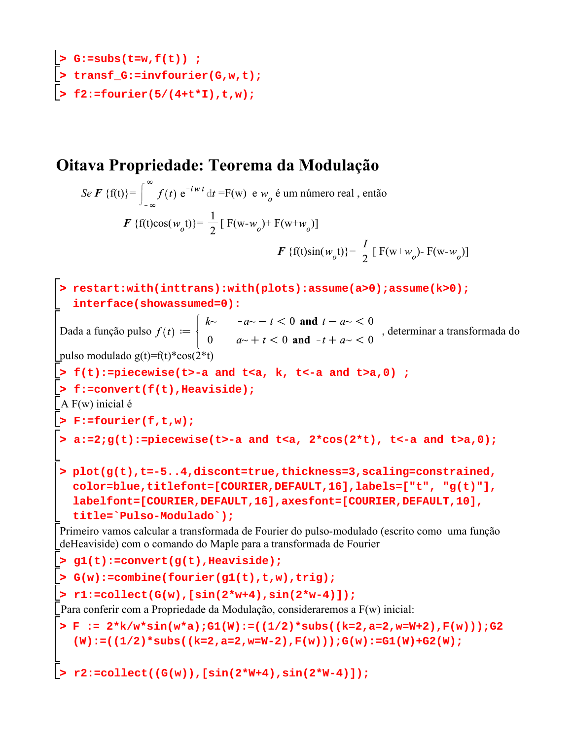```
> 
f2:=fourier(5/(4+t*I),t,w);
> 
> 
G:=subs(t=w,f(t)) ;
  transf_G:=invfourier(G,w,t);
```
### **Oitava Propriedade: Teorema da Modulação**

*Se F* {f(t)}= $\int_{0}^{\infty} f(t) e^{-iwt} dt = F(w) e^{-iwt}$  de  $w_o$  é um número real, então *F* {f(t)cos( $w_o$ t)}=  $\frac{1}{2}$  [ F(w- $w_o$ )+ F(w+ $w_o$ )] *F* {f(t)sin( $w_o$ t)}=  $\frac{1}{2}$  [ F(w+ $w_o$ )- F(w- $w_o$ )]

```
> 
G(w):=combine(fourier(g1(t),t,w),trig);
> 
F := 2*k/w*sin(w*a);G1(W):=((1/2)*subs((k=2,a=2,w=W+2),F(w)));G2
> 
restart:with(inttrans):with(plots):assume(a>0);assume(k>0);
> 
g1(t):=convert(g(t),Heaviside);
> 
a:=2;g(t):=piecewise(t>-a and t<a, 2*cos(2*t), t<-a and t>a,0);
> 
plot(g(t),t=-5..4,discont=true,thickness=3,scaling=constrained,
> 
r1:=collect(G(w),[sin(2*w+4),sin(2*w-4)]);
> 
f(t):=piecewise(t>-a and t<a, k, t<-a and t>a,0) ;
> 
F:=fourier(f,t,w);
> 
r2:=collect((G(w)),[sin(2*W+4),sin(2*W-4)]);> 
f:=convert(f(t),Heaviside);
   interface(showassumed=0):
Dada a função pulso f(t) := \begin{cases} 1 & \text{if } t \in [0, T] \end{cases}, determinar a transformada do
pulso modulado g(t)=f(t)*cos(2*t)
A F(w) inicial é 
  color=blue,titlefont=[COURIER,DEFAULT,16],labels=["t", "g(t)"],
  labelfont=[COURIER,DEFAULT,16],axesfont=[COURIER,DEFAULT,10],
  title=`Pulso-Modulado`);
Primeiro vamos calcular a transformada de Fourier do pulso-modulado (escrito como uma função 
deHeaviside) com o comando do Maple para a transformada de Fourier 
Para conferir com a Propriedade da Modulação, consideraremos a F(w) inicial:
   (W):=((1/2)*subs((k=2,a=2,w=W-2),F(w)));G(w):=G1(W)+G2(W);
```